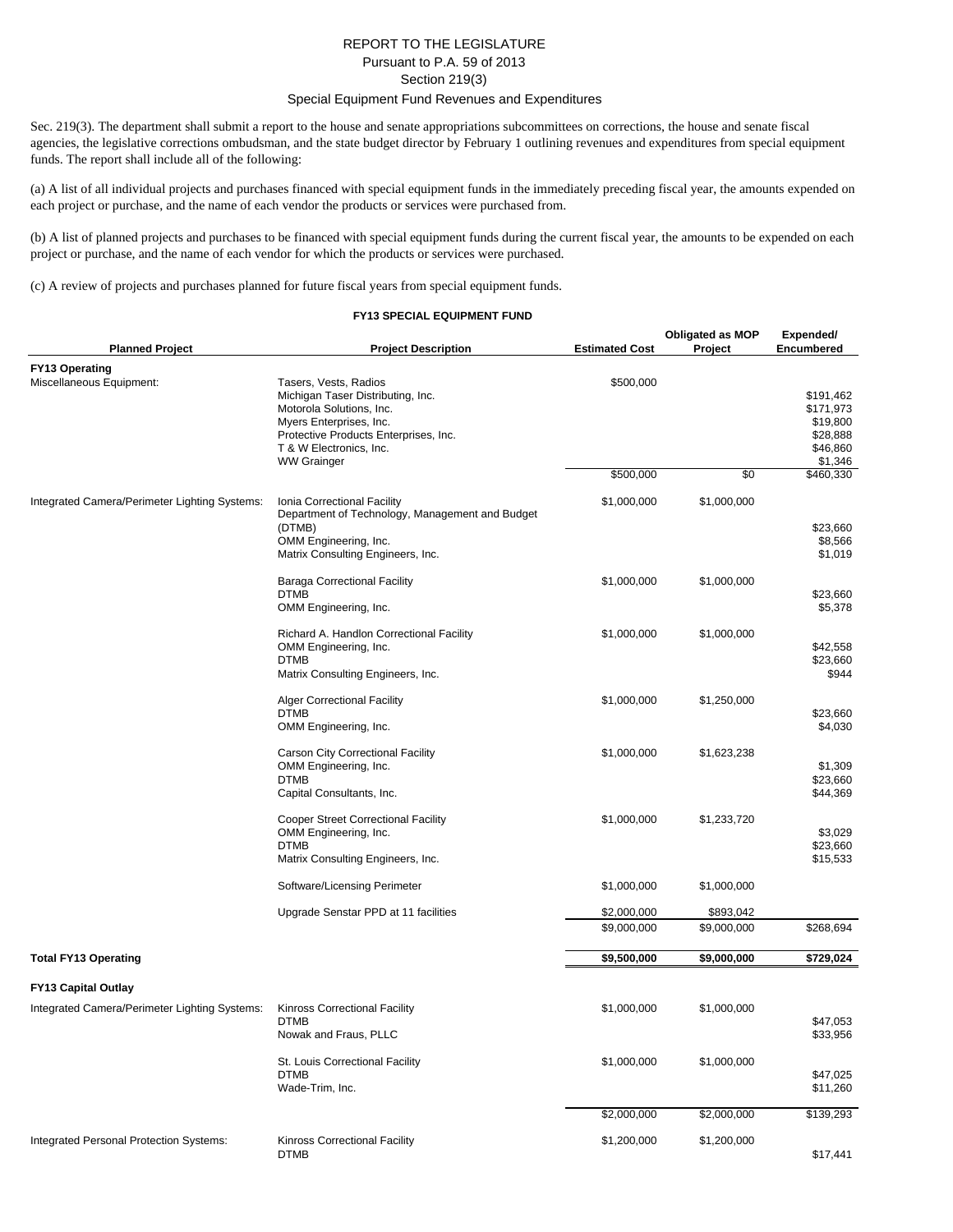## REPORT TO THE LEGISLATURE Pursuant to P.A. 59 of 2013 Section 219(3)

## Special Equipment Fund Revenues and Expenditures

Sec. 219(3). The department shall submit a report to the house and senate appropriations subcommittees on corrections, the house and senate fiscal agencies, the legislative corrections ombudsman, and the state budget director by February 1 outlining revenues and expenditures from special equipment funds. The report shall include all of the following:

(a) A list of all individual projects and purchases financed with special equipment funds in the immediately preceding fiscal year, the amounts expended on each project or purchase, and the name of each vendor the products or services were purchased from.

(b) A list of planned projects and purchases to be financed with special equipment funds during the current fiscal year, the amounts to be expended on each project or purchase, and the name of each vendor for which the products or services were purchased.

(c) A review of projects and purchases planned for future fiscal years from special equipment funds.

## **FY13 SPECIAL EQUIPMENT FUND**

| <b>Planned Project</b>                            | <b>Project Description</b>                                                                                                                                                                                  | <b>Estimated Cost</b> | <b>Obligated as MOP</b><br>Project | Expended/<br>Encumbered                                               |
|---------------------------------------------------|-------------------------------------------------------------------------------------------------------------------------------------------------------------------------------------------------------------|-----------------------|------------------------------------|-----------------------------------------------------------------------|
| <b>FY13 Operating</b><br>Miscellaneous Equipment: | Tasers, Vests, Radios<br>Michigan Taser Distributing, Inc.<br>Motorola Solutions, Inc.<br>Myers Enterprises, Inc.<br>Protective Products Enterprises, Inc.<br>T & W Electronics, Inc.<br><b>WW Grainger</b> | \$500,000             |                                    | \$191,462<br>\$171,973<br>\$19,800<br>\$28,888<br>\$46,860<br>\$1,346 |
|                                                   |                                                                                                                                                                                                             | \$500,000             | \$0                                | \$460,330                                                             |
| Integrated Camera/Perimeter Lighting Systems:     | Ionia Correctional Facility<br>Department of Technology, Management and Budget<br>(DTMB)<br>OMM Engineering, Inc.<br>Matrix Consulting Engineers, Inc.                                                      | \$1,000,000           | \$1,000,000                        | \$23,660<br>\$8,566<br>\$1,019                                        |
|                                                   | <b>Baraga Correctional Facility</b><br><b>DTMB</b><br>OMM Engineering, Inc.                                                                                                                                 | \$1,000,000           | \$1,000,000                        | \$23,660<br>\$5,378                                                   |
|                                                   | Richard A. Handlon Correctional Facility<br>OMM Engineering, Inc.<br><b>DTMB</b><br>Matrix Consulting Engineers, Inc.                                                                                       | \$1,000,000           | \$1,000,000                        | \$42,558<br>\$23,660<br>\$944                                         |
|                                                   | <b>Alger Correctional Facility</b><br><b>DTMB</b><br>OMM Engineering, Inc.                                                                                                                                  | \$1,000,000           | \$1,250,000                        | \$23,660<br>\$4,030                                                   |
|                                                   | Carson City Correctional Facility<br>OMM Engineering, Inc.<br><b>DTMB</b><br>Capital Consultants, Inc.                                                                                                      | \$1,000,000           | \$1,623,238                        | \$1,309<br>\$23,660<br>\$44,369                                       |
|                                                   | <b>Cooper Street Correctional Facility</b><br>OMM Engineering, Inc.<br><b>DTMB</b><br>Matrix Consulting Engineers, Inc.                                                                                     | \$1,000,000           | \$1,233,720                        | \$3,029<br>\$23,660<br>\$15,533                                       |
|                                                   | Software/Licensing Perimeter                                                                                                                                                                                | \$1,000,000           | \$1,000,000                        |                                                                       |
|                                                   | Upgrade Senstar PPD at 11 facilities                                                                                                                                                                        | \$2,000,000           | \$893,042                          |                                                                       |
|                                                   |                                                                                                                                                                                                             | \$9,000,000           | \$9,000,000                        | \$268,694                                                             |
| <b>Total FY13 Operating</b>                       |                                                                                                                                                                                                             | \$9,500,000           | \$9,000,000                        | \$729,024                                                             |
| <b>FY13 Capital Outlay</b>                        |                                                                                                                                                                                                             |                       |                                    |                                                                       |
| Integrated Camera/Perimeter Lighting Systems:     | Kinross Correctional Facility<br><b>DTMB</b><br>Nowak and Fraus, PLLC                                                                                                                                       | \$1,000,000           | \$1,000,000                        | \$47,053<br>\$33,956                                                  |
|                                                   | St. Louis Correctional Facility<br><b>DTMB</b><br>Wade-Trim, Inc.                                                                                                                                           | \$1,000,000           | \$1,000,000                        | \$47,025<br>\$11,260                                                  |
|                                                   |                                                                                                                                                                                                             | \$2,000,000           | \$2,000,000                        | \$139,293                                                             |
| Integrated Personal Protection Systems:           | Kinross Correctional Facility<br><b>DTMB</b>                                                                                                                                                                | \$1,200,000           | \$1,200,000                        | \$17,441                                                              |